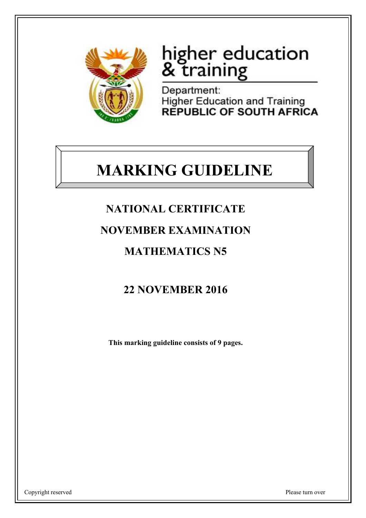

# higher education<br>& training

Department: **Higher Education and Training REPUBLIC OF SOUTH AFRICA** 

## **MARKING GUIDELINE**

## **NATIONAL CERTIFICATE**

## **NOVEMBER EXAMINATION**

## **MATHEMATICS N5**

## **22 NOVEMBER 2016**

**This marking guideline consists of 9 pages.**

Copyright reserved Please turn over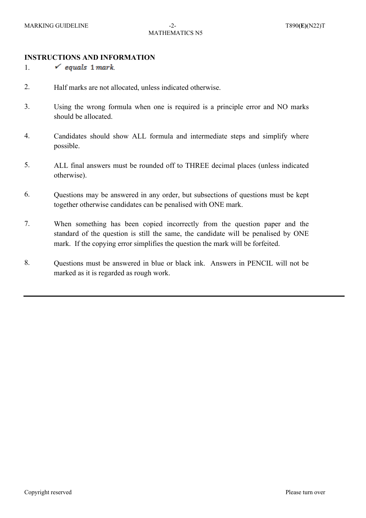#### **INSTRUCTIONS AND INFORMATION**

1.  $\checkmark$  equals 1 mark

- 2. Half marks are not allocated, unless indicated otherwise.
- 3. Using the wrong formula when one is required is a principle error and NO marks should be allocated.
- 4. Candidates should show ALL formula and intermediate steps and simplify where possible.
- 5. ALL final answers must be rounded off to THREE decimal places (unless indicated otherwise).
- 6. Questions may be answered in any order, but subsections of questions must be kept together otherwise candidates can be penalised with ONE mark.
- 7. When something has been copied incorrectly from the question paper and the standard of the question is still the same, the candidate will be penalised by ONE mark. If the copying error simplifies the question the mark will be forfeited.
- 8. Questions must be answered in blue or black ink. Answers in PENCIL will not be marked as it is regarded as rough work.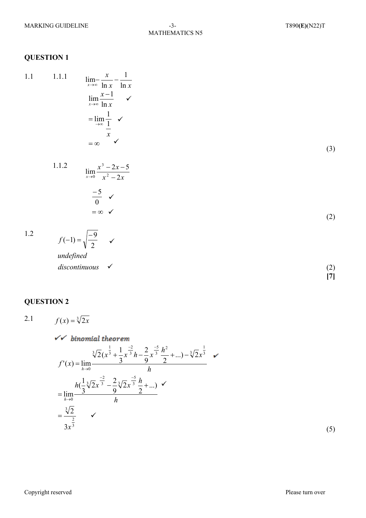#### **QUESTION 1**

 $\lim_{x\to\infty}\frac{x}{\ln x}-\frac{1}{\ln x}$  $1.1$  $1.1.1$  $\lim_{x\to\infty}\frac{x-1}{\ln x}$   $\checkmark$  $=\lim_{x \to \infty} \frac{1}{\frac{1}{x}}$   $\checkmark$  $=\infty$   $\checkmark$ 

 $1.1.2$ 

 $(3)$ 

 $(2)$ 

 $(2)$  $\tilde{[7]}$ 

 $1.2$ 

 $f(-1) = \sqrt{\frac{-9}{2}}$ undefined discontinuous  $\checkmark$ 

 $\lim_{x\to 0} \frac{x^3 - 2x - 5}{x^2 - 2x}$ 

 $\frac{-5}{0}$   $\checkmark$ <br>=  $\infty$   $\checkmark$ 

#### **QUESTION 2**

 $f(x) = \sqrt[3]{2x}$  $2.1$ 

$$
\sqrt{\frac{h_{\text{inomial theorem}}}{2}}
$$
\n
$$
f'(x) = \lim_{h \to 0} \frac{\sqrt[3]{2}(x^{\frac{1}{3}} + \frac{1}{3}x^{\frac{-2}{3}}h - \frac{2}{9}x^{\frac{-5}{3}}\frac{h^2}{2} + ...) - \sqrt[3]{2}x^{\frac{1}{3}}}{h}
$$
\n
$$
= \lim_{h \to 0} \frac{h(\frac{1}{3}\sqrt[3]{2}x^{\frac{-2}{3}} - \frac{2}{9}\sqrt[3]{2}x^{\frac{-5}{3}}\frac{h}{2} + ...) \sqrt[3]{2}}
$$
\n
$$
= \frac{\sqrt[3]{2}}{3x^{\frac{2}{3}}}
$$

 $\checkmark$ 

 $(5)$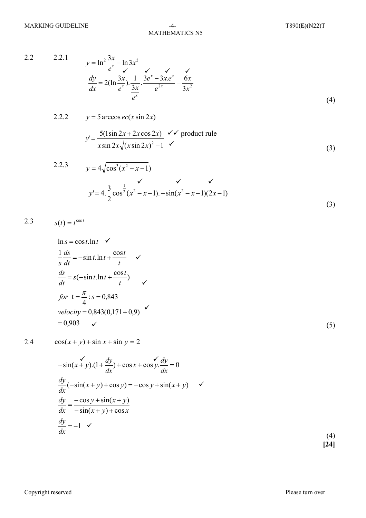MATHEMATICS N5

2.2 2.2.1

$$
y = \ln^2 \frac{3x}{e^x} - \ln 3x^2
$$
  
\n
$$
\frac{dy}{dx} = 2(\ln \frac{3x}{e^x}) \cdot \frac{1}{3x} \cdot \frac{3e^x - 3xe^x}{e^{2x}} - \frac{6x}{3x^2}
$$
  
\n(4)

2.2.2 
$$
y = 5 \arccos ec(x \sin 2x)
$$

$$
y' = \frac{5(1\sin 2x + 2x\cos 2x)}{x\sin 2x\sqrt{(x\sin 2x)^2 - 1}} \checkmark \text{ product rule}
$$
\n(3)

2.2.3 
$$
y = 4\sqrt{\cos^3(x^2 - x - 1)}
$$
  
\n
$$
y' = 4 \cdot \frac{3}{2} \cos^{\frac{1}{2}}(x^2 - x - 1) - \sin(x^2 - x - 1)(2x - 1)
$$
\n(3)

$$
2.3 \t s(t) = t^{\cos t}
$$

$$
\ln s = \cos t \cdot \ln t \quad \checkmark
$$
\n
$$
\frac{1}{s} \frac{ds}{dt} = -\sin t \cdot \ln t + \frac{\cos t}{t} \quad \checkmark
$$
\n
$$
\frac{ds}{dt} = s(-\sin t \cdot \ln t + \frac{\cos t}{t}) \quad \checkmark
$$
\n
$$
for \quad t = \frac{\pi}{4} : s = 0,843
$$
\n
$$
velocity = 0,843(0,171+0,9) \quad \checkmark
$$
\n
$$
= 0,903 \quad \checkmark
$$
\n(5)

2.4  $cos(x + y) + sin x + sin y = 2$ 

$$
-\sin(x+y)(1+\frac{dy}{dx}) + \cos x + \cos y \cdot \frac{dy}{dx} = 0
$$
  

$$
\frac{dy}{dx}(-\sin(x+y) + \cos y) = -\cos y + \sin(x+y) \quad \checkmark
$$
  

$$
\frac{dy}{dx} = -\frac{\cos y + \sin(x+y)}{-\sin(x+y) + \cos x}
$$
  

$$
\frac{dy}{dx} = -1 \quad \checkmark
$$

 (4) **[24]**

Copyright reserved Please turn over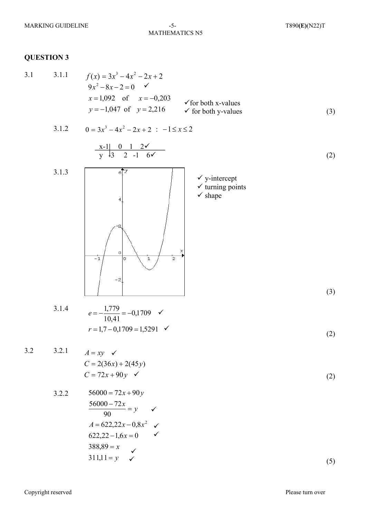### MATHEMATICS N5

#### **QUESTION 3**

3.1 3.1.1 
$$
f(x) = 3x^3 - 4x^2 - 2x + 2
$$
  
\n $9x^2 - 8x - 2 = 0$    
\n $x = 1,092$  of  $x = -0,203$    
\n $y = -1,047$  of  $y = 2,216$    
\nFor both x-values  
\nfor both y-values (3)

3.1.2 
$$
0 = 3x^3 - 4x^2 - 2x + 2 : -1 \le x \le 2
$$

$$
\begin{array}{c|cccc}\nx-1 & 0 & 1 & 2 & \checkmark \\
\hline\ny & 3 & 2 & -1 & 6 & \checkmark\n\end{array}
$$
\n(2)



3.1.4 
$$
e = -\frac{1,779}{10,41} = -0,1709
$$
   
\n $r = 1,7 - 0,1709 = 1,5291$  (2)

3.2 3.2.1

 $A = xy$   $\checkmark$  $\overline{C}$ 

$$
C = 2(36x) + 2(45y)
$$
  
\n
$$
C = 72x + 90y
$$

3.2.2 56000 = 72x + 90y  
\n
$$
\frac{56000 - 72x}{90} = y \quad \checkmark
$$
\n
$$
A = 622,22x - 0,8x^2 \quad \checkmark
$$
\n
$$
622,22 - 1,6x = 0 \quad \checkmark
$$
\n388,89 = x  
\n311,11 = y \quad \checkmark\n(5)

(2)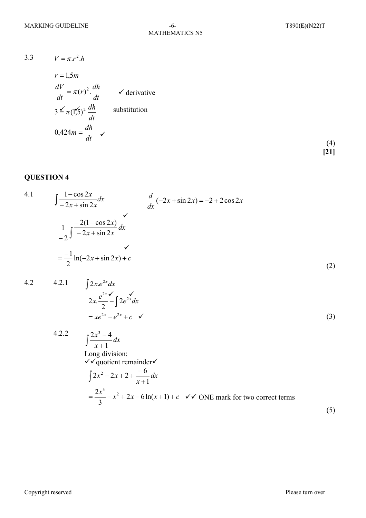3.3  $V = \pi r^2 h$ 

$$
r = 1.5m
$$
  
\n
$$
\frac{dV}{dt} = \pi(r)^2 \cdot \frac{dh}{dt}
$$
  $\checkmark$  derivative  
\n
$$
3 \leq \pi (1.5)^2 \frac{dh}{dt}
$$
 substitution  
\n
$$
0.424m = \frac{dh}{dt} \checkmark
$$

 (4) **[21]**

(3)

#### **QUESTION 4**

4.1 
$$
\int \frac{1 - \cos 2x}{-2x + \sin 2x} dx
$$

$$
\frac{d}{dx}(-2x + \sin 2x) = -2 + 2\cos 2x
$$

$$
\frac{1}{-2} \int \frac{-2(1 - \cos 2x)}{-2x + \sin 2x} dx
$$

$$
= \frac{-1}{2} \ln(-2x + \sin 2x) + c
$$
(2)

4.2 4.2.1 
$$
\int 2x \cdot e^{2x} dx
$$

$$
2x \cdot \frac{e^{2x}}{2} - \int 2e^{2x} dx
$$

$$
= xe^{2x} - e^{2x} + c \quad \checkmark
$$

4.2.2  
\n
$$
\int \frac{2x^3 - 4}{x + 1} dx
$$
\nLong division:  
\n
$$
\sqrt{a} \text{ quotient remainder}
$$
\n
$$
\int 2x^2 - 2x + 2 + \frac{-6}{x + 1} dx
$$
\n
$$
= \frac{2x^3}{3} - x^2 + 2x - 6\ln(x + 1) + c \quad \sqrt{a} \text{NE mark for two correct terms}
$$
\n(5)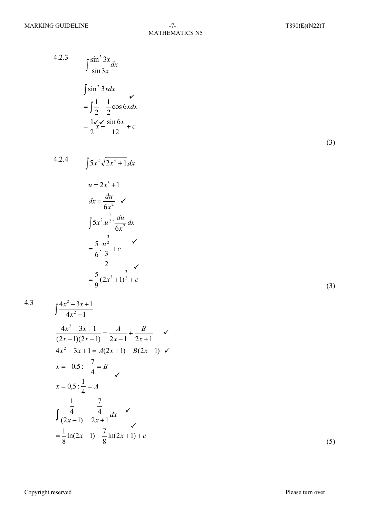4.2.3 
$$
\int \frac{\sin^3 3x}{\sin 3x} dx
$$

$$
= \int \frac{1}{2} -\frac{1}{2} \cos 6x dx
$$

$$
= \frac{1}{2}x - \frac{1}{12}x + c
$$

 $(3)$ 

 $(3)$ 

4.2.4  $\int 5x^2 \sqrt{2x^3 + 1} dx$ 

$$
u = 2x^{3} + 1
$$
\n
$$
dx = \frac{du}{6x^{2}} \checkmark
$$
\n
$$
\int 5x^{2} \cdot u^{\frac{1}{2}} \cdot \frac{du}{6x^{2}} dx
$$
\n
$$
= \frac{5}{6} \cdot \frac{u^{\frac{3}{2}}}{\frac{3}{2}} + c \checkmark
$$
\n
$$
= \frac{5}{9} (2x^{3} + 1)^{\frac{3}{2}} + c
$$

$$
4.3\,
$$

$$
\int \frac{4x^2 - 3x + 1}{4x^2 - 1}
$$
  
\n
$$
\frac{4x^2 - 3x + 1}{(2x - 1)(2x + 1)} = \frac{A}{2x - 1} + \frac{B}{2x + 1} \quad \checkmark
$$
  
\n
$$
4x^2 - 3x + 1 = A(2x + 1) + B(2x - 1) \quad \checkmark
$$
  
\n
$$
x = -0, 5: -\frac{7}{4} = B
$$
  
\n
$$
x = 0, 5: \frac{1}{4} = A
$$
  
\n
$$
\int \frac{1}{(2x - 1)} - \frac{7}{2x + 1} dx \quad \checkmark
$$
  
\n
$$
= \frac{1}{8} \ln(2x - 1) - \frac{7}{8} \ln(2x + 1) + c
$$

 $(5)$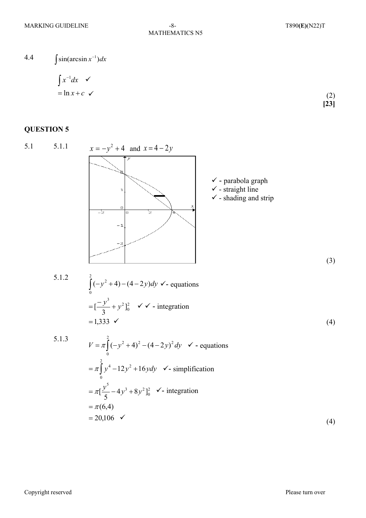MATHEMATICS N5

4.4  $\int \sin(\arcsin x^{-1}) dx$ 

$$
\int x^{-1} dx \quad \checkmark
$$
  
= ln x + c \quad \checkmark

 (2) **[23]**

#### **QUESTION 5**